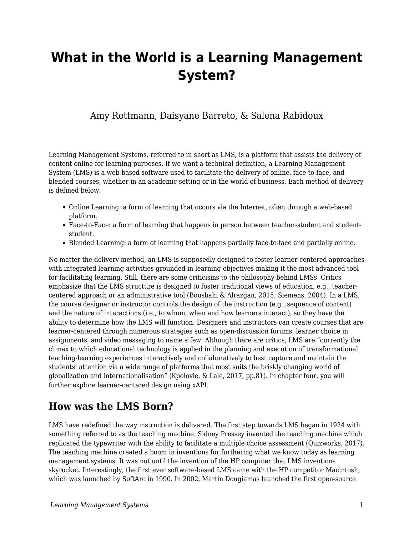# **What in the World is a Learning Management System?**

#### Amy Rottmann, Daisyane Barreto, & Salena Rabidoux

Learning Management Systems, referred to in short as LMS, is a platform that assists the delivery of content online for learning purposes. If we want a technical definition, a Learning Management System (LMS) is a web-based software used to facilitate the delivery of online, face-to-face, and blended courses, whether in an academic setting or in the world of business. Each method of delivery is defined below:

- Online Learning: a form of learning that occurs via the Internet, often through a web-based platform.
- Face-to-Face: a form of learning that happens in person between teacher-student and studentstudent.
- Blended Learning: a form of learning that happens partially face-to-face and partially online.

No matter the delivery method, an LMS is supposedly designed to foster learner-centered approaches with integrated learning activities grounded in learning objectives making it the most advanced tool for facilitating learning. Still, there are some criticisms to the philosophy behind LMSs. Critics emphasize that the LMS structure is designed to foster traditional views of education, e.g., teachercentered approach or an administrative tool (Bousbahi & Alrazgan, 2015; Siemens, 2004). In a LMS, the course designer or instructor controls the design of the instruction (e.g., sequence of content) and the nature of interactions (i.e., to whom, when and how learners interact), so they have the ability to determine how the LMS will function. Designers and instructors can create courses that are learner-centered through numerous strategies such as open-discussion forums, learner choice in assignments, and video messaging to name a few. Although there are critics, LMS are "currently the climax to which educational technology is applied in the planning and execution of transformational teaching-learning experiences interactively and collaboratively to best capture and maintain the students' attention via a wide range of platforms that most suits the briskly changing world of globalization and internationalisation" (Kpolovie, & Lale, 2017, pp.81). In chapter four, you will further explore learner-centered design using xAPI.

### **How was the LMS Born?**

LMS have redefined the way instruction is delivered. The first step towards LMS began in 1924 with something referred to as the teaching machine. Sidney Pressey invented the teaching machine which replicated the typewriter with the ability to facilitate a multiple choice assessment (Quizworks, 2017). The teaching machine created a boom in inventions for furthering what we know today as learning management systems. It was not until the invention of the HP computer that LMS inventions skyrocket. Interestingly, the first ever software-based LMS came with the HP competitor Macintosh, which was launched by SoftArc in 1990. In 2002, Martin Dougiamas launched the first open-source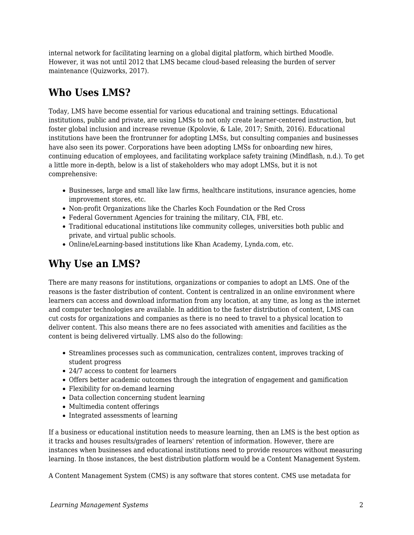internal network for facilitating learning on a global digital platform, which birthed Moodle. However, it was not until 2012 that LMS became cloud-based releasing the burden of server maintenance (Quizworks, 2017).

# **Who Uses LMS?**

Today, LMS have become essential for various educational and training settings. Educational institutions, public and private, are using LMSs to not only create learner-centered instruction, but foster global inclusion and increase revenue (Kpolovie, & Lale, 2017; Smith, 2016). Educational institutions have been the frontrunner for adopting LMSs, but consulting companies and businesses have also seen its power. Corporations have been adopting LMSs for onboarding new hires, continuing education of employees, and facilitating workplace safety training (Mindflash, n.d.). To get a little more in-depth, below is a list of stakeholders who may adopt LMSs, but it is not comprehensive:

- Businesses, large and small like law firms, healthcare institutions, insurance agencies, home improvement stores, etc.
- Non-profit Organizations like the Charles Koch Foundation or the Red Cross
- Federal Government Agencies for training the military, CIA, FBI, etc.
- Traditional educational institutions like community colleges, universities both public and private, and virtual public schools.
- Online/eLearning-based institutions like Khan Academy, Lynda.com, etc.

# **Why Use an LMS?**

There are many reasons for institutions, organizations or companies to adopt an LMS. One of the reasons is the faster distribution of content. Content is centralized in an online environment where learners can access and download information from any location, at any time, as long as the internet and computer technologies are available. In addition to the faster distribution of content, LMS can cut costs for organizations and companies as there is no need to travel to a physical location to deliver content. This also means there are no fees associated with amenities and facilities as the content is being delivered virtually. LMS also do the following:

- Streamlines processes such as communication, centralizes content, improves tracking of student progress
- 24/7 access to content for learners
- Offers better academic outcomes through the integration of engagement and gamification
- Flexibility for on-demand learning
- Data collection concerning student learning
- Multimedia content offerings
- Integrated assessments of learning

If a business or educational institution needs to measure learning, then an LMS is the best option as it tracks and houses results/grades of learners' retention of information. However, there are instances when businesses and educational institutions need to provide resources without measuring learning. In those instances, the best distribution platform would be a Content Management System.

A Content Management System (CMS) is any software that stores content. CMS use metadata for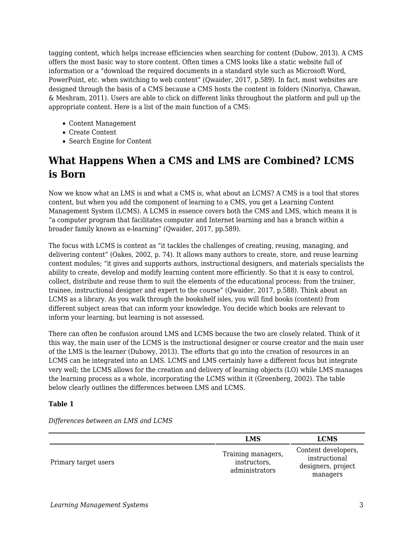tagging content, which helps increase efficiencies when searching for content (Dubow, 2013). A CMS offers the most basic way to store content. Often times a CMS looks like a static website full of information or a "download the required documents in a standard style such as Microsoft Word, PowerPoint, etc. when switching to web content" (Qwaider, 2017, p.589). In fact, most websites are designed through the basis of a CMS because a CMS hosts the content in folders (Ninoriya, Chawan, & Meshram, 2011). Users are able to click on different links throughout the platform and pull up the appropriate content. Here is a list of the main function of a CMS:

- Content Management
- Create Content
- Search Engine for Content

# **What Happens When a CMS and LMS are Combined? LCMS is Born**

Now we know what an LMS is and what a CMS is, what about an LCMS? A CMS is a tool that stores content, but when you add the component of learning to a CMS, you get a Learning Content Management System (LCMS). A LCMS in essence covers both the CMS and LMS, which means it is "a computer program that facilitates computer and Internet learning and has a branch within a broader family known as e-learning" (Qwaider, 2017, pp.589).

The focus with LCMS is content as "it tackles the challenges of creating, reusing, managing, and delivering content" (Oakes, 2002, p. 74). It allows many authors to create, store, and reuse learning content modules; "it gives and supports authors, instructional designers, and materials specialists the ability to create, develop and modify learning content more efficiently. So that it is easy to control, collect, distribute and reuse them to suit the elements of the educational process: from the trainer, trainee, instructional designer and expert to the course" (Qwaider, 2017, p.588). Think about an LCMS as a library. As you walk through the bookshelf isles, you will find books (content) from different subject areas that can inform your knowledge. You decide which books are relevant to inform your learning, but learning is not assessed.

There can often be confusion around LMS and LCMS because the two are closely related. Think of it this way, the main user of the LCMS is the instructional designer or course creator and the main user of the LMS is the learner (Dubowy, 2013). The efforts that go into the creation of resources in an LCMS can be integrated into an LMS. LCMS and LMS certainly have a different focus but integrate very well; the LCMS allows for the creation and delivery of learning objects (LO) while LMS manages the learning process as a whole, incorporating the LCMS within it (Greenberg, 2002). The table below clearly outlines the differences between LMS and LCMS.

#### **Table 1**

*Differences between an LMS and LCMS*

|                      | <b>LMS</b>                                           | <b>LCMS</b>                                                            |
|----------------------|------------------------------------------------------|------------------------------------------------------------------------|
| Primary target users | Training managers,<br>instructors,<br>administrators | Content developers,<br>instructional<br>designers, project<br>managers |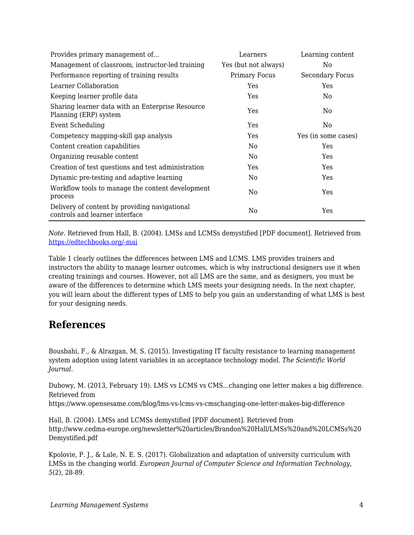| Provides primary management of                                                  | Learners             | Learning content       |
|---------------------------------------------------------------------------------|----------------------|------------------------|
| Management of classroom, instructor-led training                                | Yes (but not always) | No.                    |
| Performance reporting of training results                                       | <b>Primary Focus</b> | <b>Secondary Focus</b> |
| Learner Collaboration                                                           | Yes                  | Yes                    |
| Keeping learner profile data                                                    | Yes                  | No.                    |
| Sharing learner data with an Enterprise Resource<br>Planning (ERP) system       | Yes                  | No.                    |
| Event Scheduling                                                                | Yes                  | No                     |
| Competency mapping-skill gap analysis                                           | Yes                  | Yes (in some cases)    |
| Content creation capabilities                                                   | No                   | Yes                    |
| Organizing reusable content                                                     | No                   | <b>Yes</b>             |
| Creation of test questions and test administration                              | Yes                  | Yes                    |
| Dynamic pre-testing and adaptive learning                                       | No                   | Yes                    |
| Workflow tools to manage the content development<br>process                     | No                   | Yes                    |
| Delivery of content by providing navigational<br>controls and learner interface | No                   | Yes                    |

*Note*. Retrieved from Hall, B. (2004). LMSs and LCMSs demystified [PDF document]. Retrieved from [https://edtechbooks.org/-mai](http://www.cedma-europe.org/newsletter%20articles/Brandon%20Hall/LMSs%20and%20LCMSs%20Demystified.pdf)

Table 1 clearly outlines the differences between LMS and LCMS. LMS provides trainers and instructors the ability to manage learner outcomes, which is why instructional designers use it when creating trainings and courses. However, not all LMS are the same, and as designers, you must be aware of the differences to determine which LMS meets your designing needs. In the next chapter, you will learn about the different types of LMS to help you gain an understanding of what LMS is best for your designing needs.

### **References**

Bousbahi, F., & Alrazgan, M. S. (2015). Investigating IT faculty resistance to learning management system adoption using latent variables in an acceptance technology model. *The Scientific World Journal*.

Dubowy, M. (2013, February 19). LMS vs LCMS vs CMS...changing one letter makes a big difference. Retrieved from

https://www.opensesame.com/blog/lms-vs-lcms-vs-cmschanging-one-letter-makes-big-difference

Hall, B. (2004). LMSs and LCMSs demystified [PDF document]. Retrieved from http://www.cedma-europe.org/newsletter%20articles/Brandon%20Hall/LMSs%20and%20LCMSs%20 Demystified.pdf

Kpolovie, P. J., & Lale, N. E. S. (2017). Globalization and adaptation of university curriculum with LMSs in the changing world. *European Journal of Computer Science and Information Technology*, *5*(2), 28-89.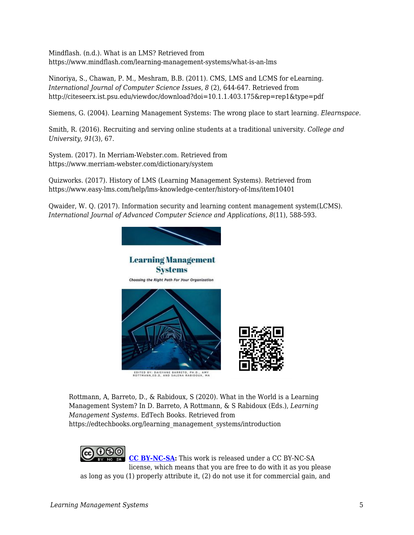Mindflash. (n.d.). What is an LMS? Retrieved from https://www.mindflash.com/learning-management-systems/what-is-an-lms

Ninoriya, S., Chawan, P. M., Meshram, B.B. (2011). CMS, LMS and LCMS for eLearning. *International Journal of Computer Science Issues*, *8* (2), 644-647. Retrieved from http://citeseerx.ist.psu.edu/viewdoc/download?doi=10.1.1.403.175&rep=rep1&type=pdf

Siemens, G. (2004). Learning Management Systems: The wrong place to start learning. *Elearnspace*.

Smith, R. (2016). Recruiting and serving online students at a traditional university. *College and University*, *91*(3), 67.

System. (2017). In Merriam-Webster.com. Retrieved from https://www.merriam-webster.com/dictionary/system

Quizworks. (2017). History of LMS (Learning Management Systems). Retrieved from https://www.easy-lms.com/help/lms-knowledge-center/history-of-lms/item10401

Qwaider, W. Q. (2017). Information security and learning content management system(LCMS). *International Journal of Advanced Computer Science and Applications*, *8*(11), 588-593.



Rottmann, A, Barreto, D., & Rabidoux, S (2020). What in the World is a Learning Management System? In D. Barreto, A Rottmann, & S Rabidoux (Eds.), *Learning Management Systems*. EdTech Books. Retrieved from https://edtechbooks.org/learning\_management\_systems/introduction

രാൈ **[CC BY-NC-SA:](https://creativecommons.org/licenses/by-nc-sa/4.0)** This work is released under a CC BY-NC-SA license, which means that you are free to do with it as you please as long as you (1) properly attribute it, (2) do not use it for commercial gain, and